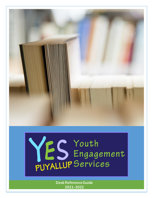

# YES Youth<br>PUYALLUP Services

**Desk Reference Guide 2021-2022**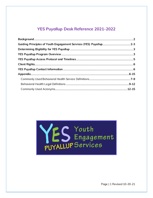# **YES Puyallup Desk Reference 2021-2022**



Page | 1 Revised 10-20-21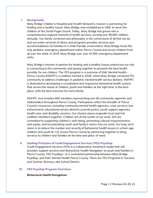#### **I. Background:**

Mary Bridge Children's Hospital and Health Network's mission is partnering for healing and a healthy future. Mary Bridge was established in 1955 to serve the children of the South Puget Sound. Today, Mary Bridge has grown into a comprehensive regional network of health services, serving over 90,000 children annually. Our family-centered care philosophy is the cornerstone of all that we do, and our entire network of clinics and programs provides services and accommodations for families in a child-friendly environment. Mary Bridge hosts the only pediatric emergency department within Pierce County and serves children from all over the state. In 2019, Mary Bridge saw over 47,000 emergency department visits.

Mary Bridge's mission to partner for healing and a healthy future underscore our role in connecting to the community and joining together to promote the best health possible for our children. The YES program is a outcome of Kids' Mental Health-Pierce County (KMHPC), a coalition formed in 2018, when Mary Bridge convened 70+ community to address challenges in pediatric mental health service delivery. KMHPC is dedicated to developing a coordinated and responsive behavioral health system that serves the needs of children, youth and families at the right time, in the best place, with the best outcome for every family.

KMHPC now includes 800 members representing over 60 community agencies and stakeholders throughout Pierce County. Participants reflect the breadth of Pierce County's resources, including community mental health agencies, crisis services, law enforcement, educational service districts, juvenile justice, youth support agencies, health care, and disability services. Our shared values engender trust and link coalition members together. Children are at the center of our work. We are committed to supporting children's well-being, promoting cultural responsiveness and equity, and incorporating youth and family's voices into our work. Our long-term vision is to reduce the number and severity of behavioral health issues in school-age children and youth (K-12) across Pierce County by partnering together to bring services to children and families at the time and place of need.

# **II. Guiding Principles of Youth Engagement Services (YES) Puyallup:**

Youth Engagement Services (YES) is a collaborative treatment model that will provides support services and Behavioral Health Navigation to youth and families in Pierce County. YES Puyallup—is a contracted partnership between Mary Bridge, Puyallup, and Kids' Mental Health Pierce County. There are YES Programs in Tacoma and Sumner-Bonney Lake School District.

#### **III. YES Puyallup Program Overview:**

#### **Behavioral Health Navigation:**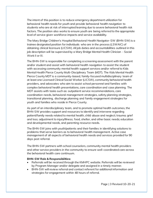The intent of this position is to reduce emergency department utilization for behavioral health needs for youth and provide behavioral health navigation to students who are at risk of interrupted learning due to severe behavioral health risk factors. The position also works to ensure youth are being referred to the appropriate level of service given workforce impacts and service availability.

The Mary Bridge Children's Hospital Behavioral Health Navigator-SW (BHN-SW) is a trainee designated position for individuals who are in the process (LSWAIC) of obtaining clinical licensure (LICSW). All job duties and accountabilities outlined in this job description will be supervised by a Mary Bridge Mental Health Clinician - Social Work II or III.

The BHN-SW is responsible for completing a screening assessment with the parent and/or student and assist with behavioral health navigation to assist the student with accessing community mental health support services and/or referral to Kids Mental Health Pierce County Multi-Disciplinary Team (MDT). The Kids Mental Health Pierce County MDT is a community-based, family-focused multidisciplinary team of at least one Licensed Clinical Social Worker (LICSW), community behavioral health providers, and advocates who aim to assist school personnel and families with complex behavioral health presentations, care coordination and case planning. The MDT assists with tasks such as: outpatient service recommendations, care coordination needs, behavioral management strategies, safety planning strategies, transitional planning, discharge planning and family engagement strategies for youth and families who reside in Pierce County.

As part of an interdisciplinary team, and to promote optimal health outcomes, the BHN-SW provides support and resources to identify and intervene regarding patient/family needs related to mental health, child abuse and neglect; trauma; grief and loss; adjustment to injury/illness; food, shelter, and other basic needs; education and developmental needs, and parenting resource needs.

The BHN-SW joins with youth/patients and their families in identifying solutions to problems that serve barriers as to behavioral health management. Active case management of all aspects of behavioral health needs and services provided for 90 days post referral.

The BHN-SW partners with school counselors, community mental health providers and other service providers in the community to ensure well-coordinated care across the behavioral health care continuum.

#### **BHN-SW Role & Responsibilities:**

- Referrals will be received through the KMHPC website. Referrals will be reviewed by Program Manager and/or delegate and assigned in a timely manner.
- BHN-SW will review referral and contact referent for additional information and strategies for engagement within 48 hours of referral.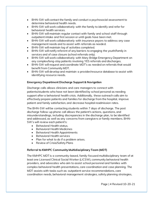- BHN-SW will contact the family and conduct a psychosocial assessment to determine behavioral health needs.
- BHN-SW will work collaboratively with the family to identify and refer for behavioral health services.
- BHN-SW will maintain regular contact with family and school staff through outpatient intake and first session or until goals have been met.
- BHN-SW will work collaboratively with insurance payors to address any case management needs and to assist with referrals as needed.
- BHN-SW will maintain log of activities completed.
- BHN-SW will notify referent of any barriers to engaging the youth/family in services and of case closure (school referrals only).
- BHN-SW will work collaboratively with Mary Bridge Emergency Department on any complex/long-stay patients involving YES referrals and discharges.
- BHN-SW will request and coordinate MDT's as needed on referrals that would benefit from Community MDT.
- BHN-SW will develop and maintain a provider/resource database to assist with identifying resource needs.

# **Emergency Department Discharge Support & Navigation**

Discharge calls allows clinicians and care managers to connect with patients/students who have not been identified by school personal as needing support after a behavioral health crisis. Additionally, these outreach calls aim to effectively prepare patients and families for discharge from the hospital, improve patient and family satisfaction, and decrease hospital readmission rates.

The BHN-SW will be contacting students within 7 days of discharge. The post discharge follow-up phone call allows the patient's actions, questions, and misunderstandings, including discrepancies in the discharge plan, to be identified and addressed, as well as any concerns from caregivers or family members. BHN-SW's will review each patient's:

- Behavioral Health status.
- Behavioral Health Medicines
- Behavioral Health Appointments
- Behavioral Health services
- Plan for what to do if a problem arises.
- Review of Crisis/Safety Plans

#### **Referral to KMHPC Community Multidisciplinary Team (MDT)**

The KMHPC MDT is a community-based, family-focused multidisciplinary team of at least one Licensed Clinical Social Worker (LICSW), community behavioral health providers, and advocates who aim to assist school personnel and families with complex behavioral health presentations, care coordination and case planning. The MDT assists with tasks such as: outpatient service recommendations, care coordination needs, behavioral management strategies, safety planning strategies,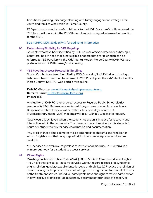transitional planning, discharge planning and family engagement strategies for youth and families who reside in Pierce County.

PSD personal can make a referral directly to the MDT. Once a referral is received the YES Team will work with the PSD Student to obtain a signed release of information for the MDT.

[See KMHPC MDT Guide & FAQ for additional information](https://drive.google.com/file/d/1yzDD7w0F047trebI8ONaAlVMQrAqECpY/view?usp=sharing)

#### **IV. Determining Eligibility for YES Puyallup**

Students who have been identified by PSD Counselors/Social Worker as having a behavioral health need that is not eligible or appropriate for telehealth can be referred to YES Puyallup via the Kids' Mental Health-Pierce County (KMHPC) web portal or email: BHNReferral@multicare.org.

#### **V. YES Puyallup Access Protocol & Timelines**

Student's who have been identified by PSD Counselor/Social Worker as having a behavioral health need can be referred to YES Puyallup via the Kids' Mental Health-Pierce County (KMHPC) web portal or triage line.

**KMHPC Website:** [www.kidsmentalhealthpiercecounty.org](http://www.kidsmentalhealthpiercecounty.org/) **Referral Email:** [BHNReferral@multicare.org](mailto:BHNReferral@multicare.org) **Phone:** TBD

Availability of KMHPC referral portal access to Puyallup Public School district personnel is 24/7. Referrals are reviewed 5 days a week during business hours. Response to referral review will be within 2 business days of referral. Multidisciplinary team (MDT) meetings will occur within 2 weeks of a request.

Case closure is achieved when the student has a plan is in place for recovery and integration within the community. The average hours of service for this stage is 5 hours per student/family for case coordination and documentation.

Any or all of these time estimates will be extended for students and families for whom English is not their language of origin, to ensure interpreter services are available.

YES services are available regardless of instructional modality. PSD referral is a primary pathway for a student to access services.

#### **VI. Client Rights**

Washington Administrative Code (WAC) 388-877-0600 Clinical—Individual rights "You have the right to: (a) Receive services without regard to race, creed, national origin, religion, gender, sexual orientation, age or disability; (b) Practice the religion of choice as long as the practice does not infringe on the rights and treatment of others or the treatment service. Individual participants have the right to refuse participation in any religious practice; (c) Be reasonably accommodated in case of sensory or

Page | 5 Revised 10-20-21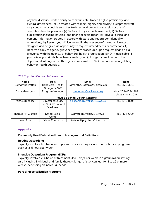physical disability, limited ability to communicate, limited English proficiency, and cultural differences; (d) Be treated with respect, dignity and privacy, except that staff may conduct reasonable searches to detect and prevent possession or use of contraband on the premises; (e) Be free of any sexual harassment; (f) Be free of exploitation, including physical and financial exploitation; (g) Have all clinical and personal information treated in accord with state and federal confidentiality regulations; (h) Review your clinical record in the presence of the administrator or designee and be given an opportunity to request amendments or corrections; (i) Receive a copy of agency grievance system procedures upon request and to file a grievance with the agency, or behavioral health organization (BHO), if applicable, if you believe your rights have been violated; and (j) Lodge a complaint with the department when you feel the agency has violated a WAC requirement regulating behavior health agencies.

| <b>Name</b>                              | Role                     | Email                         | Phone              |  |
|------------------------------------------|--------------------------|-------------------------------|--------------------|--|
| Samantha Patton                          | <b>Behavioral Health</b> | Samantha.Patton@Multicare.org | 253-325-3213       |  |
|                                          | Navigator-SW             |                               |                    |  |
| Ashley Mangum                            | Program Manager          | amangum@multicare.org         | Work: 253-403-1363 |  |
|                                          |                          |                               | Cell: 253-414-2007 |  |
| <b>Puyallup School District Contacts</b> |                          |                               |                    |  |
| Michele Bledsoe                          | Director of Equity       | bledsomt@puyallup.k12.wa.us   | 253-840-8907       |  |
|                                          | and Social Emotional     |                               |                    |  |
|                                          | Wellness                 |                               |                    |  |
|                                          |                          |                               |                    |  |
| Therssa "T" Warren                       | <b>School Social</b>     | warretj@puyallup.k12.wa.us    | 253-435-6724       |  |
|                                          | Worker                   |                               |                    |  |
| Nicole Kaiser                            | <b>School Counselor</b>  | kaisenr@puyallup.k12.wa.us    |                    |  |

#### **YES Puyallup Contact Information:**

#### **Appendix**

#### **Commonly Used Behavioral Health Acronyms and Definitions**

#### **Routine Outpatient:**

Typically involves treatment once per week or less; may include more intensive programs such as 3-5 hours per week

#### **Intensive Outpatient Program (IOP):**

Typically involves 2-4 hours of treatment, 3 to 5 days per week, in a group milieu setting; also including individual and family therapy; length of stay can last for 2 to 16 or more weeks, depending on individual needs

#### **Partial Hospitalization Program:**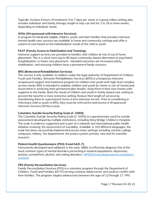Typically involves 6 hours of treatment, 5 to 7 days per week, in a group milieu setting; also includes individual and family therapy; length of stay can last for 2 to 16 or more weeks, depending on individual needs

#### **WISe (Wraparound with Intensive Services):**

A program for Medicaid-eligible children, youth, and their families that provides intensive mental health care; services are available in home and community settings and offer a system of care based on the individualized needs of the child or youth.

# **FAST (Family Access to Stabilization and Teaming):**

Intensive support services are provided to families with children at risk of out of home placement. This is a short-term (up to 90 days) community-based alternative to psychiatric hospitalization or foster care placement. Intended outcomes are increased safety, stabilization, and ensuring children have a permanent family resource.

# **BRS (Behavioral Rehabilitation Services):**

This service is only available to children under the legal authority of Department of Children, Youth and Families. Behavior Rehabilitation Services (BRS) is a temporary intensive wraparound support and treatment program for children and youth with high-level complex service needs. BRS is intended to stabilize children and youth (in-home or out-of-home) and: Assist them in achieving their permanent plan timelier. Keep them in their own homes with supports to the family. Meet the needs of children and youth in family-based care setting to prevent the need for a more restrictive setting. Reduce their length of services by transitioning them to a permanent home or less intensive service. Prior to considering or referring a child or youth to BRS, they must be referred for and receive a Wraparound Intensive Services (WISe) screen.

# **Columbia-Suicide Severity Rating Scale (C-SSRS):**

The Columbia-Suicide Severity Rating Scale (C-SSRS) is a questionnaire used for suicide assessment developed by multiple institutions, including Mary Bridge Children's Hospital. The scale is evidence-supported and is part of a national and international public health initiative involving the assessment of suicidality. Available in 103 different languages, the scale has been successfully implemented across many settings, including schools, college campuses, military, fire departments, the justice system, primary care and for scientific research.

# **Patient Health Questionnaire (PHQ-9 and GAD-7):**

Instruments developed and validated in the early 1990s to efficiently diagnose five of the most common types of mental disorders presenting in medical populations: depressive, anxiety, somatoform, alcohol, and eating disorders. [htPSD://www.phqscreeners.com/select](https://www.phqscreeners.com/select-screener)[screener](https://www.phqscreeners.com/select-screener)

#### **FRS (Family Reconciliation Services):**

Family Reconciliation Services (FRS) is a voluntary program through the Department of Children, Youth and Families (DCYF) serving runaway adolescents, and youth in conflict with their families. The program targets adolescents between the ages of 12 through 17. FRS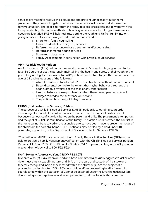services are meant to resolve crisis situations and prevent unnecessary out of home placement. They are not long-term services. The services will assess and stabilize the family's situation. The goal is to return the family to a pre-crisis state and to work with the family to identify alternative methods of handling similar conflicts. If longer-term service needs are identified, FRS will help facilitate getting the youth and his/her family into ongoing services. FRS services may include, but are not limited to:

- o Short-term family counseling
- o Crisis Residential Center (CRC) services
- o Referrals for substance abuse treatment and/or counseling
- o Referrals for mental health services
- o Short-term placement
- o Family Assessments in conjunction with juvenile court services

# **ARY (At-Risk Youth) Petition:**

An At-Risk Youth (ARY) petition is a request from a child's parent or legal guardian to the Juvenile Court to assist the parent in maintaining the health and safety of their youth or the youth they are legally responsible for. ARY petitions can be filed for youth who are under the age of 18 and at least one of the following:

- o Absent from home for at least 72 consecutive hours without parental consent
- o Beyond parental control to the extent that his/her behavior threatens the health, safety or welfare of the child or any other person
- $\circ$  Has a substance abuse problem for which there are no pending criminal charges related to the substance abuse; and
- o The petitioner has the right to legal custody

# **CHINS (Child in Need of Services) Petition:**

The purpose of a Child in Need of Services (CHINS) petition is to obtain a court order mandating placement of a child in a residence other than the home of his/her parent because a serious conflict exists between the parent and child. The placement is temporary, and the goal of CHINS is reunification of the family. This action is taken when the conflict in the home cannot be resolved and reasonable efforts have been made to prevent removal of the child from the parental home. CHINS petitions may be filed by a child under 18, parent/legal guardian, or the Department of Social and Health Services (DSHS).

\*The petitioner MUST have had contact with Family Reconciliation Services (FRS) and be able to provide a Family Assessment verification with the Child in Need of Services petition. Please call FRS at (253) 983-6100 or 1-800-422-7517. If you are calling after 4:30pm on a weekend or holiday, call 1-800-562-5624.

# **SAY (Sexually Aggressive Youth) RCW 74.13.075:**

Juveniles who: (a) Have been abused and have committed a sexually aggressive act or other violent act that is sexual in nature; and (i) Are in the care and custody of the state or a federally recognized Indian tribe located within the state; or (ii) Are the subject of a proceeding under chapter 13.34 RCW or a child welfare proceeding held before a tribal court located within the state; or (b) Cannot be detained under the juvenile justice system due to being under age twelve and incompetent to stand trial for acts that could be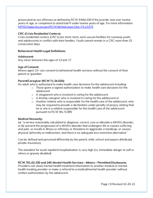prosecuted as sex offenses as defined by RCW 9.94A.030 if the juvenile was over twelve years of age, or competent to stand trial if under twelve years of age. For more information: [htPSD://apps.leg.wa.gov/RCW/default.aspx?cite=74.13.075](https://apps.leg.wa.gov/RCW/default.aspx?cite=74.13.075)

#### **CRC (Crisis Residential Centers):**

Crisis residential centers (CRC's) are short-term, semi-secure facilities for runaway youth, and adolescents in conflict with their families. Youth cannot remain in a CRC more than 15 consecutive days.

#### **Behavioral Health Legal Definitions:**

#### **Adolescent:**

Any minor between the ages of 13 and 17

#### **Age of Consent:**

Minors aged 13+ can consent to behavioral health services without the consent of their parent or guardian

#### **Parent/Caregiver (RCW 71.34.020):**

An adult who is authorized to make health care decisions for the adolescent including:

- $\circ$  Those given a signed authorization to make health care decisions for the adolescent
- o A stepparent who is involved in caring for the adolescent
- o A kinship caregiver who is involved in caring for the adolescent or
- $\circ$  Another relative who is responsible for the health care of the adolescent, who may be required to provide a declaration under penalty of perjury stating that he or she is a relative responsible for the health care of the adolescent pursuant to RCW 9A.72.085

#### **Medical Necessity:**

(a) "a service reasonably calculated to diagnose, correct, cure or alleviate a MH/SU disorder, or (b) prevent the progression of a MH/SU disorder that endangers life or causes suffering and pain, or results in illness or infirmary or threatens to aggravate a handicap, or causes physical deformity or malfunction, and there is no adequate less restrictive alternative"

Can be defined and perceived differently by the parent, child, school and payers (Medicaid, private insurance).

The standard for acute inpatient hospitalization is very high (I.e. immediate danger to self or others or gravely disabled)

**RCW 701.02.230 and 240 Mental Health Services—Minors—Permitted Disclosures:** Providers can share mental health treatment information to another medical or mental health treating provider or make a referral to a medical/mental health provider without written authorization by the adolescent.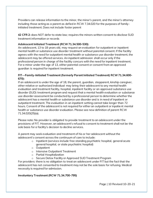Providers can release information to the minor, the minor's parent, and the minor's attorney including those acting as a parent as defied in RCW 7.34.020 for the purposes of familyinitiated treatment. Does not include foster parent

**42 CFR 2:** does NOT defer to state law; requires the minors written consent to disclose SUD treatment information or records

# **Adolescent Initiated Treatment (RCW 71.34.500-530):**

An adolescent, 13 to 18 years old, may request an evaluation for outpatient or inpatient mental health or substance use disorder treatment without parental consent. If the facility agrees with the need for outpatient mental health or substance use disorder treatment, the adolescent may be offered services. An inpatient admission shall occur only if the professional person in charge of the facility concurs with the need for inpatient treatment. For a minor under the age of 13, either parental consent or consent from an approved guardian is required for inpatient treatment.

# **FIT—Family-Initiated Treatment (formerly Parent Initiated Treatment) RCW 71.34.600- 670):**

If an adolescent is under the age of 18, the parent, guardian, stepparent, kinship caregiver, other relative or authorized individual may bring their adolescent to any mental health evaluation and treatment facility, hospital, inpatient facility or an approved substance use disorder (SUD) treatment program and request that a mental health evaluation or substance use disorder assessment be conducted by a professional person to determine whether the adolescent has a mental health or substance use disorder and is in need of inpatient or outpatient treatment. The evaluation in an inpatient setting cannot take longer than 72 hours. Consent of the adolescent is not required for either an outpatient or inpatient mental health or substance use disorder evaluation. Please see new definition of parent RCW 71.34.020(25)(a).

Please note: No provider is obligated to provide treatment to an adolescent under the provisions of FIT. However, an adolescent's refusal to consent to treatment shall not be the sole basis for a facility's decision to decline services.

A parent may seek evaluation and treatment of his or her adolescent without the adolescent's consent across the continuum of care to include:

- $\circ$  Inpatient (services include free standing psychiatric hospital, general acute general hospital, or state psychiatric hospital)
- o Outpatient
- o Intensive Outpatient Treatment
- o Partial Hospitalization
- o Secure Detox Facility or Approved SUD Treatment Program

For providers: there is no obligation to treat an adolescent under FIT but the fact that the adolescent has not consented to treatment may not be the sole basis for refusing. Medical necessity is required for admission.

# **Involuntary Treatment (RCW 71.34.700-795)**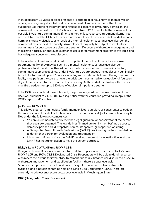If an adolescent 13 years or older presents a likelihood of serious harm to themselves or others, who is gravely disabled and may be in need of immediate mental health or substance use inpatient treatment and refuses to consent to a voluntary admission, the adolescent may be held for up to 12 hours to enable a DCR to evaluate the adolescent for possible involuntary commitment. If no voluntary or less restrictive treatment alternatives are available, and the DCR determines that the adolescent presents a likelihood of serious harm or is gravely disabled, as a result of a mental health or substance use disorder, the adolescent may be held at a facility. An adolescent may only be subject to involuntary commitment for substance use disorder treatment if a secure withdrawal management and stabilization facility or approved substance use disorder treatment program is available and has adequate space for the adolescent.

If the adolescent is already admitted to an inpatient mental health or substance use treatment facility, they may be seen by a mental health or substance use disorder professional and the staff within 24 hours to determine whether to pursue involuntary commitment court proceedings. Under involuntary treatment act, the adolescent can initially be held for treatment up to 72 hours, excluding weekends and holidays. During this time, the facility may petition the court to have the adolescent committed for an additional fourteen days, if it is believed further treatment is necessary. At the end of the 14 days, the facility may file a petition for up to 180 days of additional inpatient treatment.

If the DCR does not hold the adolescent, the parent or guardian may seek review of the decision, pursuant to 71.05.201, by filing notice with the court and providing a copy of the DCR's report and/or notes

# **Joel's Law RCW 71.05:**

This allows a person's immediate family member, legal guardian, or conservator to petition the superior court for initial detention under certain conditions. A Joel's Law Petition may be filed under the following circumstances:

- You are an immediate family member, legal guardian, or conservator of the person that you seek detained. The law defines "immediate family member" as a spouse, domestic partner, child, stepchild, parent, stepparent, grandparent, or sibling;
- A Designated Mental Health Professional (DMHP) has investigated and decided not to detain that person for evaluation and treatment; or
- It has been 48 hours since the DMHP received a request for investigation, and the DMHP has not taken action to have the person detained.

# **Ricky's Law RCW 71.05 and RCW 71.34:**

Designated Crisis Responders will be able to detain a person who meets the Ricky's Law RCW 71.05 and RCW 71.34: Designated Crisis Responders will be able to detain a person who meets the criteria for involuntary treatment due to a substance use disorder to a secure withdrawal management and stabilization facility if there is space available.

\*in order for a person to be detained under Ricky's Law a secure detox bed must be available and a person cannot be held on a Single Bed Certification (SBC). There are currently no adolescent secure detox beds available in Washington State.

# **DRC (Designated Crisis Responder):**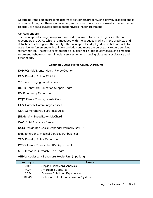Determine if the person presents a harm to self/others/property, or is gravely disabled and is at imminent risk, or if there is a nonemergent risk due to a substance use disorder or mental disorder, or needs assisted outpatient behavioral health treatment

#### **Co-Responders:**

The Co-responder program operates as part of a law enforcement agencies. The coresponders are DCRs which are imbedded with the deputies working in the precincts and detachments throughout the county. The co-responders deployed in the field are able to assist law enforcement with call de-escalation and move the participant toward services rather than jail. The network established provides the linkage to services such as medical treatment, behavioral mental health services, job and housing placement assistance and other needs.

# **Commonly Used Pierce County Acronyms:**

- **KMHPC:** Kids' Mental Health Pierce County
- **PSD: Puyallup School District**
- **YES:** Youth Engagement Services
- **BEST:** Behavioral Education Support Team
- **ED:** Emergency Department
- **PCJC:** Pierce County Juvenile Court
- **CCS:** Catholic Community Services
- **CLR:** Comprehensive Life Resources
- **JBLM:** Joint-Based Lewis McChord
- **CAC:** Child Advocacy Center
- **DCR:** Designated Crisis Responder (formerly DMHP)
- **EMS:** Emergency Medical Services (Ambulance)
- **TPD:** Puyallup Police Department
- **PCSD:** Pierce County Sheriff's Department
- **MOCT:** Mobile Outreach Crisis Team

**ABHU:** Adolescent Behavioral Health Unit (Inpatient)

| Acronym     | <b>Name</b>                                |
|-------------|--------------------------------------------|
| ABA         | <b>Applied Behavioral Analysis</b>         |
| ACA         | Affordable Care Act                        |
| <b>ACEs</b> | Adverse Childhood Experiences              |
| <b>BHAS</b> | <b>Behavioral Health Assessment System</b> |

Page | 12 Revised 10-20-21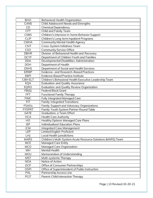| <b>BHO</b>    | <b>Behavioral Health Organization</b>                        |
|---------------|--------------------------------------------------------------|
| <b>CANS</b>   | <b>Child Adolescent Needs and Strengths</b>                  |
| <b>CD</b>     | <b>Chemical Dependency</b>                                   |
| <b>CFT</b>    | Child and Family Team                                        |
| <b>CIIBS</b>  | Children's Intensive In-home Behavior Support                |
| <b>CLIP</b>   | Children's Long-term Inpatient Programs                      |
| <b>CMHA</b>   | <b>Community Mental Health Agency</b>                        |
| <b>CSIT</b>   | Cross-System Initiatives Team                                |
| CSO           | <b>Community Service Office</b>                              |
| <b>DBHR</b>   | Division of Behavioral Health and Recovery                   |
| <b>DCYF</b>   | Department of Children Youth and Families                    |
| <b>DDA</b>    | Developmental Disabilities Administration                    |
| <b>DOH</b>    | Department of Health                                         |
| <b>DSHS</b>   | Department of Social and Health Services                     |
| E/RBP         | <b>Evidence- and Research-Based Practices</b>                |
| <b>EBPI</b>   | <b>Evidence Based Practice Institute</b>                     |
| <b>CBHELT</b> | Children's Behavioral Health Executive Leadership Team       |
| EQA           | <b>Evaluation and Quality Assurance</b>                      |
| <b>EQRO</b>   | Evaluation and Quality Review Organization                   |
| FB(G)         | <b>Federal Block Grant</b>                                   |
| <b>FFT</b>    | <b>Functional Family Therapy</b>                             |
| <b>FIMC</b>   | <b>Fully Integrated Managed Care</b>                         |
| <b>FIT</b>    | <b>Family Integrated Transitions</b>                         |
| <b>FSAOs</b>  | <b>Family Support and Advocacy Organizations</b>             |
| <b>FYSPRT</b> | Family Youth System Partner Round Table                      |
| <b>GATE</b>   | Graduation, a Team Effort                                    |
| <b>HCA</b>    | <b>Health Care Authority</b>                                 |
| HO            | <b>Healthy Options Managed Care Plans</b>                    |
| <b>IEP</b>    | <b>Individualized Education Plans</b>                        |
| <b>ICM</b>    | <b>Integrated Case Management</b>                            |
| LEP           | <b>Limited English Proficient</b>                            |
| LHJ           | Local Health Jurisdictions                                   |
| <b>MARS</b>   | Children's Multi-System Acute Resource Solutions (MARS) Team |
| <b>MCE</b>    | <b>Managed Care Entity</b>                                   |
| <b>MCO</b>    | <b>Managed Care Organization</b>                             |
| <b>MH</b>     | <b>Mental Health</b>                                         |
| <b>MOU</b>    | Memorandum of Understanding                                  |
| <b>MST</b>    | Multi-systemic Therapy                                       |
| <b>NOA</b>    | Notice of Action                                             |
| <b>OCP</b>    | Office of Consumer Partnerships                              |
| <b>OSPI</b>   | Office of Superintendent of Public Instruction               |
| PAL           | <b>Partnership Access Line</b>                               |
| <b>PCIT</b>   | Parent-Child Interaction Therapy                             |

Page | 13 Revised 10-20-21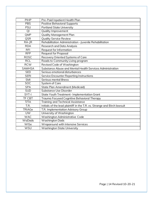| <b>PIHP</b>   | Pre-Paid Inpatient Health Plan                                           |
|---------------|--------------------------------------------------------------------------|
| <b>PBS</b>    | <b>Positive Behavioral Supports</b>                                      |
| <b>PSU</b>    | <b>Portland State University</b>                                         |
| QI            | Quality Improvement                                                      |
| QMP           | <b>Quality Management Plan</b>                                           |
| <b>QSR</b>    | <b>Quality Service Review</b>                                            |
| $RA$ -JR      | Rehabilitation Administration - Juvenile Rehabilitation                  |
| <b>RDA</b>    | <b>Research and Data Analysis</b>                                        |
| <b>RFI</b>    | <b>Request for Information</b>                                           |
| <b>RFP</b>    | <b>Request for Proposal</b>                                              |
| <b>ROSC</b>   | Recovery Oriented Systems of Care                                        |
| <b>RCL</b>    | Roads to Community Living program                                        |
| <b>RCW</b>    | Revised Code of Washington                                               |
| <b>SAMHSA</b> | Substance Abuse and Mental Health Services Administration                |
| <b>SED</b>    | Serious emotional disturbances                                           |
| <b>SERI</b>   | <b>Service Encounter Reporting Instructions</b>                          |
| <b>SMI</b>    | Serious mental illness                                                   |
| <b>SOC</b>    | <b>System of Care</b>                                                    |
| <b>SPA</b>    | State Plan Amendment (Medicaid)                                          |
| <b>SUD</b>    | Substance Use Disorder                                                   |
| SYT-I         | <b>State Youth Treatment-Implementation Grant</b>                        |
| TF CBT        | Trauma Focused Cognitive Behavioral Therapy                              |
| <b>T/TA</b>   | <b>Training and Technical Assistance</b>                                 |
| T.R.          | Initials of the lead plaintiff in the T.R. vs. Strange and Birch lawsuit |
| <b>TRIAGe</b> | T.R. Implementation Advisory Group                                       |
| <b>UW</b>     | University of Washington                                                 |
| <b>WAC</b>    | Washington Administrative Code                                           |
| WaDads        | Washington Dads                                                          |
| WISe          | Wraparound with Intensive Services                                       |
| WSU           | <b>Washington State University</b>                                       |